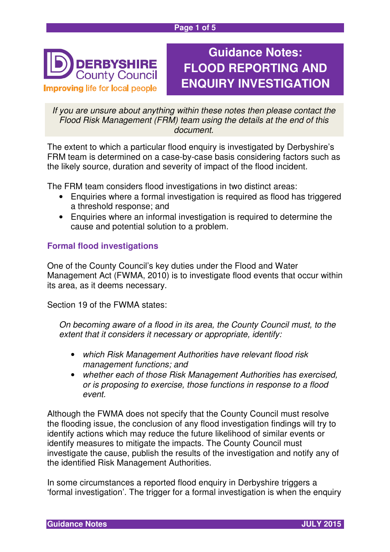#### **Page 1 of 5**



# **Guidance Notes: FLOOD REPORTING AND ENQUIRY INVESTIGATION**

If you are unsure about anything within these notes then please contact the Flood Risk Management (FRM) team using the details at the end of this document.

The extent to which a particular flood enquiry is investigated by Derbyshire's FRM team is determined on a case-by-case basis considering factors such as the likely source, duration and severity of impact of the flood incident.

The FRM team considers flood investigations in two distinct areas:

- Enquiries where a formal investigation is required as flood has triggered a threshold response; and
- Enquiries where an informal investigation is required to determine the cause and potential solution to a problem.

## **Formal flood investigations**

One of the County Council's key duties under the Flood and Water Management Act (FWMA, 2010) is to investigate flood events that occur within its area, as it deems necessary.

Section 19 of the FWMA states:

On becoming aware of a flood in its area, the County Council must, to the extent that it considers it necessary or appropriate, identify:

- which Risk Management Authorities have relevant flood risk management functions; and
- whether each of those Risk Management Authorities has exercised. or is proposing to exercise, those functions in response to a flood event.

Although the FWMA does not specify that the County Council must resolve the flooding issue, the conclusion of any flood investigation findings will try to identify actions which may reduce the future likelihood of similar events or identify measures to mitigate the impacts. The County Council must investigate the cause, publish the results of the investigation and notify any of the identified Risk Management Authorities.

In some circumstances a reported flood enquiry in Derbyshire triggers a 'formal investigation'. The trigger for a formal investigation is when the enquiry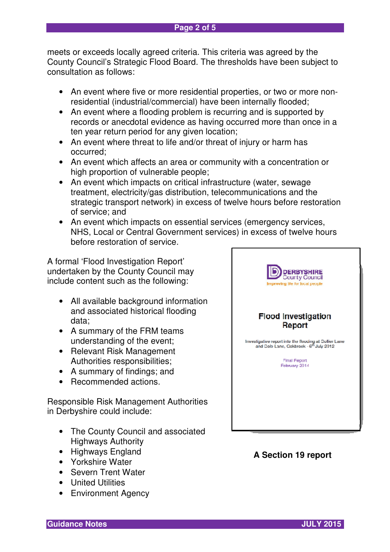meets or exceeds locally agreed criteria. This criteria was agreed by the County Council's Strategic Flood Board. The thresholds have been subject to consultation as follows:

- An event where five or more residential properties, or two or more nonresidential (industrial/commercial) have been internally flooded;
- An event where a flooding problem is recurring and is supported by records or anecdotal evidence as having occurred more than once in a ten year return period for any given location;
- An event where threat to life and/or threat of injury or harm has occurred;
- An event which affects an area or community with a concentration or high proportion of vulnerable people;
- An event which impacts on critical infrastructure (water, sewage treatment, electricity/gas distribution, telecommunications and the strategic transport network) in excess of twelve hours before restoration of service; and
- An event which impacts on essential services (emergency services, NHS, Local or Central Government services) in excess of twelve hours before restoration of service.

A formal 'Flood Investigation Report' undertaken by the County Council may include content such as the following:

- All available background information and associated historical flooding data;
- A summary of the FRM teams understanding of the event;
- Relevant Risk Management Authorities responsibilities;
- A summary of findings; and
- Recommended actions.

Responsible Risk Management Authorities in Derbyshire could include:

- The County Council and associated Highways Authority
- Highways England
- Yorkshire Water
- Severn Trent Water
- United Utilities
- Environment Agency



## **A Section 19 report**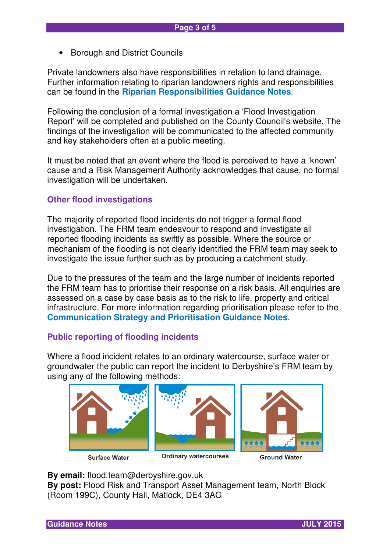• Borough and District Councils

Private landowners also have responsibilities in relation to land drainage. Further information relating to riparian landowners rights and responsibilities can be found in the **Riparian Responsibilities Guidance Notes**.

Following the conclusion of a formal investigation a 'Flood Investigation Report' will be completed and published on the County Council's website. The findings of the investigation will be communicated to the affected community and key stakeholders often at a public meeting.

It must be noted that an event where the flood is perceived to have a 'known' cause and a Risk Management Authority acknowledges that cause, no formal investigation will be undertaken.

#### **Other flood investigations**

The majority of reported flood incidents do not trigger a formal flood investigation. The FRM team endeavour to respond and investigate all reported flooding incidents as swiftly as possible. Where the source or mechanism of the flooding is not clearly identified the FRM team may seek to investigate the issue further such as by producing a catchment study.

Due to the pressures of the team and the large number of incidents reported the FRM team has to prioritise their response on a risk basis. All enquiries are assessed on a case by case basis as to the risk to life, property and critical infrastructure. For more information regarding prioritisation please refer to the **Communication Strategy and Prioritisation Guidance Notes**.

#### **Public reporting of flooding incidents**

Where a flood incident relates to an ordinary watercourse, surface water or groundwater the public can report the incident to Derbyshire's FRM team by using any of the following methods:



**Surface Water** 

**Ordinary watercourses** 

**Ground Water** 

**By email:** flood.team@derbyshire.gov.uk

**By post:** Flood Risk and Transport Asset Management team, North Block (Room 199C), County Hall, Matlock, DE4 3AG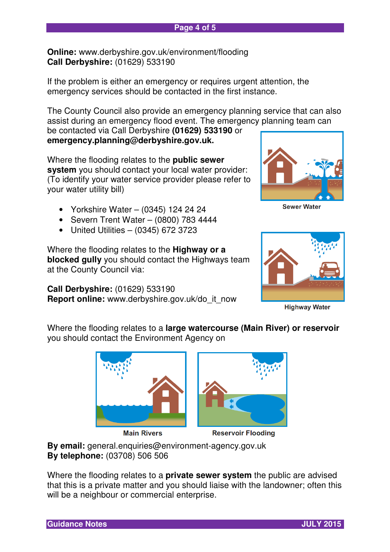**Online:** www.derbyshire.gov.uk/environment/flooding **Call Derbyshire:** (01629) 533190

If the problem is either an emergency or requires urgent attention, the emergency services should be contacted in the first instance.

The County Council also provide an emergency planning service that can also assist during an emergency flood event. The emergency planning team can

be contacted via Call Derbyshire **(01629) 533190** or **emergency.planning@derbyshire.gov.uk.**

Where the flooding relates to the **public sewer system** you should contact your local water provider: (To identify your water service provider please refer to your water utility bill)

- Yorkshire Water (0345) 124 24 24
- Severn Trent Water (0800) 783 4444
- United Utilities (0345) 672 3723

Where the flooding relates to the **Highway or a blocked gully** you should contact the Highways team at the County Council via:

**Call Derbyshire:** (01629) 533190 **Report online:** www.derbyshire.gov.uk/do\_it\_now



**Sewer Water** 



**Highway Water** 

Where the flooding relates to a **large watercourse (Main River) or reservoir** you should contact the Environment Agency on



**Main Rivers** 



**Reservoir Flooding** 

**By email:** general.enquiries@environment-agency.gov.uk **By telephone:** (03708) 506 506

Where the flooding relates to a **private sewer system** the public are advised that this is a private matter and you should liaise with the landowner; often this will be a neighbour or commercial enterprise.